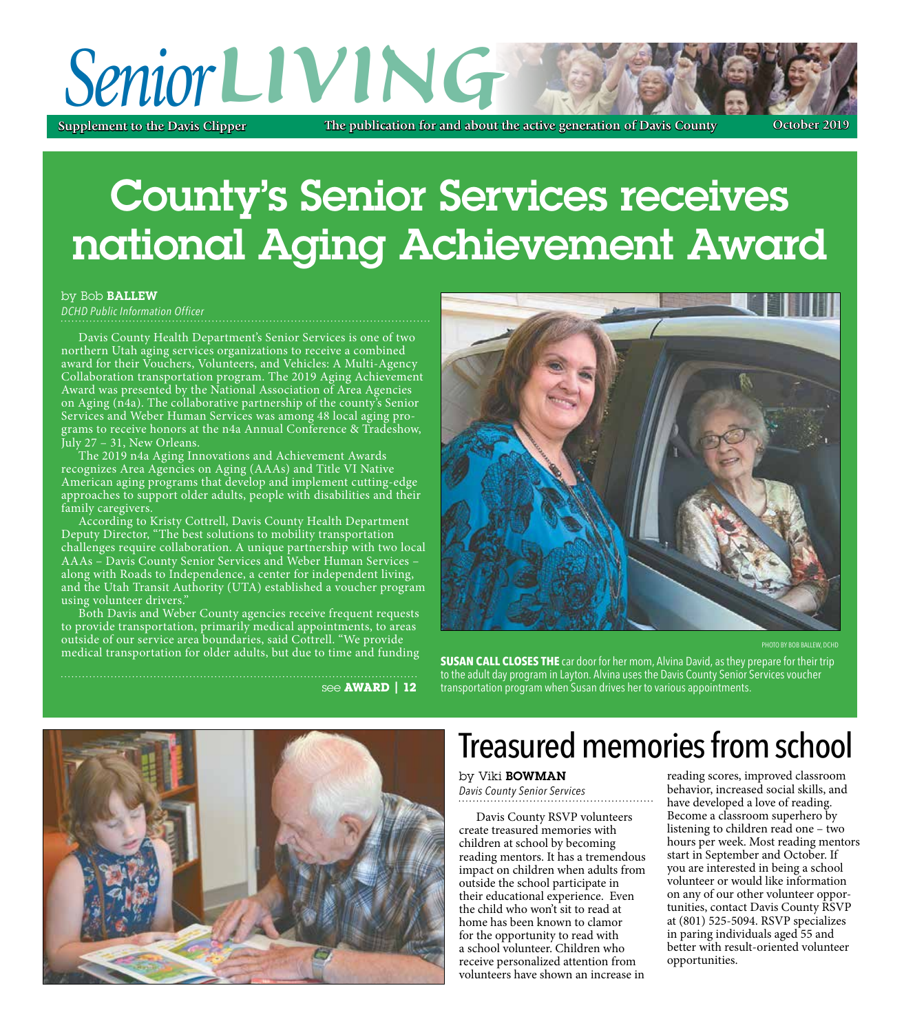## **LIVING The publication for and about the active generation of Davis County Supplement to the Davis Clipper October 2019** *Senior*

# County's Senior Services receives national aging achievement award

by Bob Ballew

*DCHD Public Information Officer*

Davis County Health Department's Senior Services is one of two northern Utah aging services organizations to receive a combined award for their Vouchers, Volunteers, and Vehicles: A Multi-Agency Collaboration transportation program. The 2019 Aging Achievement Award was presented by the National Association of Area Agencies on Aging  $(n4a)$ . The collaborative partnership of the county's Senior Services and Weber Human Services was among 48 local aging programs to receive honors at the n4a Annual Conference & Tradeshow, July 27 – 31, New Orleans.

The 2019 n4a Aging Innovations and Achievement Awards recognizes Area Agencies on Aging (AAAs) and Title VI Native American aging programs that develop and implement cutting-edge approaches to support older adults, people with disabilities and their family caregivers.

According to Kristy Cottrell, Davis County Health Department Deputy Director, "The best solutions to mobility transportation challenges require collaboration. A unique partnership with two local AAAs – Davis County Senior Services and Weber Human Services – along with Roads to Independence, a center for independent living, and the Utah Transit Authority (UTA) established a voucher program using volunteer drivers."

Both Davis and Weber County agencies receive frequent requests to provide transportation, primarily medical appointments, to areas outside of our service area boundaries, said Cottrell. "We provide medical transportation for older adults, but due to time and funding



**PHOTO BY BOB BALLEW, DCHD** 

**SUSAN CALL CLOSES THE** car door for her mom, Alvina David, as they prepare for their trip to the adult day program in layton. alvina uses the Davis County Senior Services voucher see **AWARD | 12** transportation program when Susan drives her to various appointments.



## Treasured memories from school

#### by Viki Bowman *Davis County Senior Services*

Davis County RSVP volunteers create treasured memories with children at school by becoming reading mentors. It has a tremendous impact on children when adults from outside the school participate in their educational experience. Even the child who won't sit to read at home has been known to clamor for the opportunity to read with a school volunteer. Children who receive personalized attention from volunteers have shown an increase in

reading scores, improved classroom behavior, increased social skills, and have developed a love of reading. Become a classroom superhero by listening to children read one – two hours per week. Most reading mentors start in September and October. If you are interested in being a school volunteer or would like information on any of our other volunteer opportunities, contact Davis County RSVP at (801) 525-5094. RSVP specializes in paring individuals aged 55 and better with result-oriented volunteer opportunities.